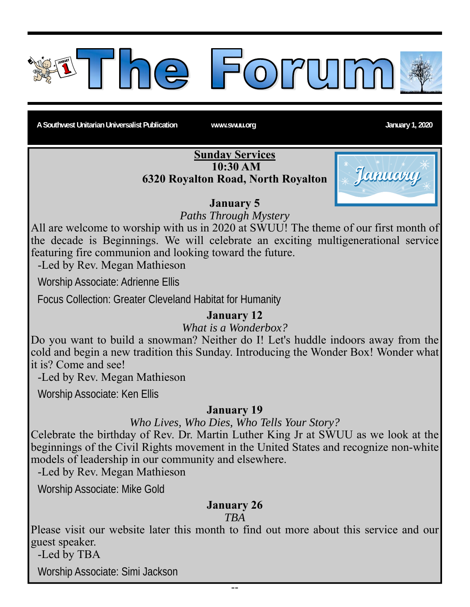

A Southwest Unitarian Universalist Publication **www.swuu.org Community Community Community** January 1, 2020

#### **Sunday Services 10:30 AM 6320 Royalton Road, North Royalton**



### **January 5**

*Paths Through Mystery* 

All are welcome to worship with us in 2020 at SWUU! The theme of our first month of the decade is Beginnings. We will celebrate an exciting multigenerational service featuring fire communion and looking toward the future.

-Led by Rev. Megan Mathieson

Worship Associate: Adrienne Ellis

Focus Collection: Greater Cleveland Habitat for Humanity

### **January 12**

*What is a Wonderbox?* 

Do you want to build a snowman? Neither do I! Let's huddle indoors away from the cold and begin a new tradition this Sunday. Introducing the Wonder Box! Wonder what it is? Come and see!

-Led by Rev. Megan Mathieson

Worship Associate: Ken Ellis

#### **January 19**

*Who Lives, Who Dies, Who Tells Your Story?* 

Celebrate the birthday of Rev. Dr. Martin Luther King Jr at SWUU as we look at the beginnings of the Civil Rights movement in the United States and recognize non-white models of leadership in our community and elsewhere.

-Led by Rev. Megan Mathieson

Worship Associate: Mike Gold

### **January 26**

*TBA* 

Please visit our website later this month to find out more about this service and our guest speaker.

-Led by TBA

Worship Associate: Simi Jackson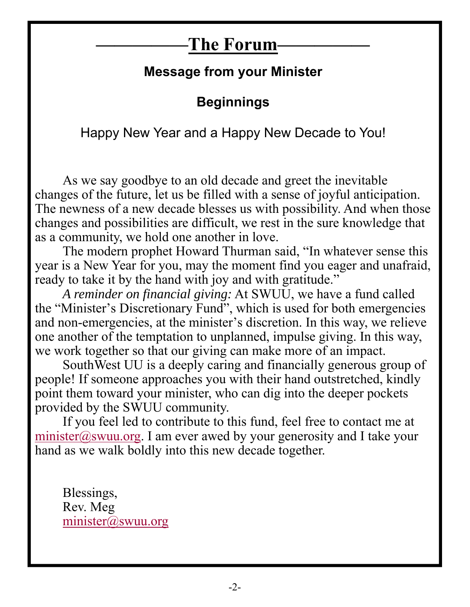## **Message from your Minister**

# **Beginnings**

Happy New Year and a Happy New Decade to You!

As we say goodbye to an old decade and greet the inevitable changes of the future, let us be filled with a sense of joyful anticipation. The newness of a new decade blesses us with possibility. And when those changes and possibilities are difficult, we rest in the sure knowledge that as a community, we hold one another in love.

The modern prophet Howard Thurman said, "In whatever sense this year is a New Year for you, may the moment find you eager and unafraid, ready to take it by the hand with joy and with gratitude."

*A reminder on financial giving:* At SWUU, we have a fund called the "Minister's Discretionary Fund", which is used for both emergencies and non-emergencies, at the minister's discretion. In this way, we relieve one another of the temptation to unplanned, impulse giving. In this way, we work together so that our giving can make more of an impact.

SouthWest UU is a deeply caring and financially generous group of people! If someone approaches you with their hand outstretched, kindly point them toward your minister, who can dig into the deeper pockets provided by the SWUU community.

If you feel led to contribute to this fund, feel free to contact me at minister@swuu.org. I am ever awed by your generosity and I take your hand as we walk boldly into this new decade together.

Blessings, Rev. Meg minister@swuu.org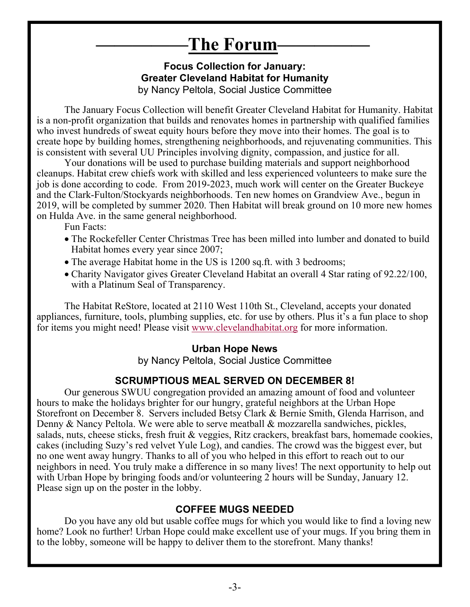#### **Focus Collection for January: Greater Cleveland Habitat for Humanity**  by Nancy Peltola, Social Justice Committee

The January Focus Collection will benefit Greater Cleveland Habitat for Humanity. Habitat is a non-profit organization that builds and renovates homes in partnership with qualified families who invest hundreds of sweat equity hours before they move into their homes. The goal is to create hope by building homes, strengthening neighborhoods, and rejuvenating communities. This is consistent with several UU Principles involving dignity, compassion, and justice for all.

Your donations will be used to purchase building materials and support neighborhood cleanups. Habitat crew chiefs work with skilled and less experienced volunteers to make sure the job is done according to code. From 2019-2023, much work will center on the Greater Buckeye and the Clark-Fulton/Stockyards neighborhoods. Ten new homes on Grandview Ave., begun in 2019, will be completed by summer 2020. Then Habitat will break ground on 10 more new homes on Hulda Ave. in the same general neighborhood.

Fun Facts:

- The Rockefeller Center Christmas Tree has been milled into lumber and donated to build Habitat homes every year since 2007;
- The average Habitat home in the US is 1200 sq.ft. with 3 bedrooms;
- Charity Navigator gives Greater Cleveland Habitat an overall 4 Star rating of 92.22/100, with a Platinum Seal of Transparency.

The Habitat ReStore, located at 2110 West 110th St., Cleveland, accepts your donated appliances, furniture, tools, plumbing supplies, etc. for use by others. Plus it's a fun place to shop for items you might need! Please visit www.clevelandhabitat.org for more information.

#### **Urban Hope News**

by Nancy Peltola, Social Justice Committee

### **SCRUMPTIOUS MEAL SERVED ON DECEMBER 8!**

Our generous SWUU congregation provided an amazing amount of food and volunteer hours to make the holidays brighter for our hungry, grateful neighbors at the Urban Hope Storefront on December 8. Servers included Betsy Clark & Bernie Smith, Glenda Harrison, and Denny & Nancy Peltola. We were able to serve meatball & mozzarella sandwiches, pickles, salads, nuts, cheese sticks, fresh fruit & veggies, Ritz crackers, breakfast bars, homemade cookies, cakes (including Suzy's red velvet Yule Log), and candies. The crowd was the biggest ever, but no one went away hungry. Thanks to all of you who helped in this effort to reach out to our neighbors in need. You truly make a difference in so many lives! The next opportunity to help out with Urban Hope by bringing foods and/or volunteering 2 hours will be Sunday, January 12. Please sign up on the poster in the lobby.

#### **COFFEE MUGS NEEDED**

Do you have any old but usable coffee mugs for which you would like to find a loving new home? Look no further! Urban Hope could make excellent use of your mugs. If you bring them in to the lobby, someone will be happy to deliver them to the storefront. Many thanks!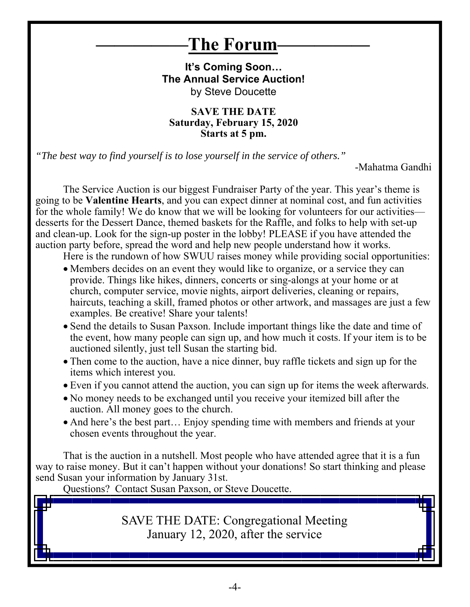**It's Coming Soon… The Annual Service Auction!**  by Steve Doucette

**SAVE THE DATE Saturday, February 15, 2020 Starts at 5 pm.** 

*"The best way to find yourself is to lose yourself in the service of others."*

-Mahatma Gandhi

The Service Auction is our biggest Fundraiser Party of the year. This year's theme is going to be **Valentine Hearts**, and you can expect dinner at nominal cost, and fun activities for the whole family! We do know that we will be looking for volunteers for our activities desserts for the Dessert Dance, themed baskets for the Raffle, and folks to help with set-up and clean-up. Look for the sign-up poster in the lobby! PLEASE if you have attended the auction party before, spread the word and help new people understand how it works.

Here is the rundown of how SWUU raises money while providing social opportunities:

- Members decides on an event they would like to organize, or a service they can provide. Things like hikes, dinners, concerts or sing-alongs at your home or at church, computer service, movie nights, airport deliveries, cleaning or repairs, haircuts, teaching a skill, framed photos or other artwork, and massages are just a few examples. Be creative! Share your talents!
- Send the details to Susan Paxson. Include important things like the date and time of the event, how many people can sign up, and how much it costs. If your item is to be auctioned silently, just tell Susan the starting bid.
- Then come to the auction, have a nice dinner, buy raffle tickets and sign up for the items which interest you.
- Even if you cannot attend the auction, you can sign up for items the week afterwards.
- No money needs to be exchanged until you receive your itemized bill after the auction. All money goes to the church.
- And here's the best part... Enjoy spending time with members and friends at your chosen events throughout the year.

That is the auction in a nutshell. Most people who have attended agree that it is a fun way to raise money. But it can't happen without your donations! So start thinking and please send Susan your information by January 31st.

Questions? Contact Susan Paxson, or Steve Doucette.

SAVE THE DATE: Congregational Meeting January 12, 2020, after the service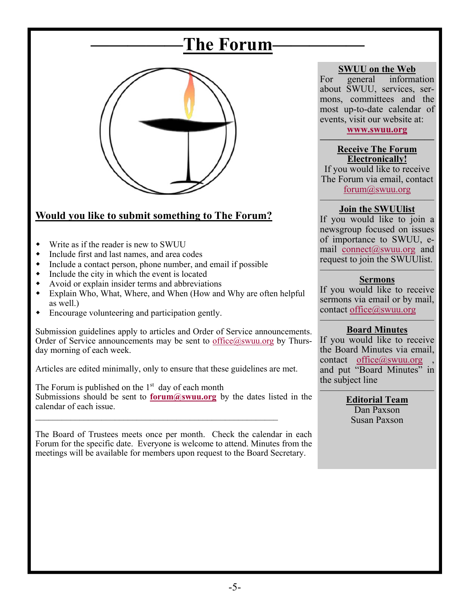

### **Would you like to submit something to The Forum?**

- Write as if the reader is new to SWUU
- Include first and last names, and area codes
- Include a contact person, phone number, and email if possible
- Include the city in which the event is located
- Avoid or explain insider terms and abbreviations
- Explain Who, What, Where, and When (How and Why are often helpful as well.)
- Encourage volunteering and participation gently.

Submission guidelines apply to articles and Order of Service announcements. Order of Service announcements may be sent to  $office@swuu.org$  by Thursday morning of each week.

Articles are edited minimally, only to ensure that these guidelines are met.

The Forum is published on the  $1<sup>st</sup>$  day of each month Submissions should be sent to **forum@swuu.org** by the dates listed in the calendar of each issue.  $\mathcal{L}_\text{max}$  and the contract of the contract of the contract of the contract of the contract of the contract of the contract of the contract of the contract of the contract of the contract of the contract of the contrac

The Board of Trustees meets once per month. Check the calendar in each Forum for the specific date. Everyone is welcome to attend. Minutes from the meetings will be available for members upon request to the Board Secretary.

#### **SWUU on the Web**

For general information about SWUU, services, sermons, committees and the most up-to-date calendar of events, visit our website at:

**www.swuu.org ————————————** 

#### **Receive The Forum Electronically!**

If you would like to receive The Forum via email, contact forum@swuu.org

#### ———————————— **Join the SWUUlist**

If you would like to join a newsgroup focused on issues of importance to SWUU, email connect@swuu.org and request to join the SWUUlist. ————————————

#### **Sermons**

If you would like to receive sermons via email or by mail, contact office@swuu.org

#### ———————————— **Board Minutes**

If you would like to receive the Board Minutes via email, contact office $@s$ swuu.org and put "Board Minutes" in the subject line

———————————— **Editorial Team**  Dan Paxson

Susan Paxson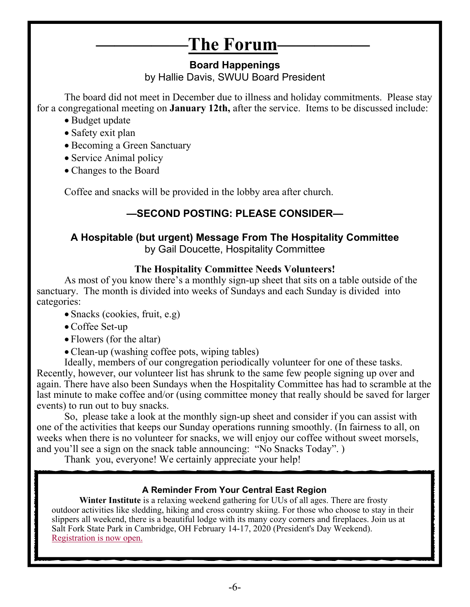#### **Board Happenings**  by Hallie Davis, SWUU Board President

The board did not meet in December due to illness and holiday commitments. Please stay for a congregational meeting on **January 12th,** after the service. Items to be discussed include:

- Budget update
- Safety exit plan
- Becoming a Green Sanctuary
- Service Animal policy
- Changes to the Board

Coffee and snacks will be provided in the lobby area after church.

### **—SECOND POSTING: PLEASE CONSIDER—**

### **A Hospitable (but urgent) Message From The Hospitality Committee**

by Gail Doucette, Hospitality Committee

#### **The Hospitality Committee Needs Volunteers!**

As most of you know there's a monthly sign-up sheet that sits on a table outside of the sanctuary. The month is divided into weeks of Sundays and each Sunday is divided into categories:

- Snacks (cookies, fruit, e.g)
- Coffee Set-up
- Flowers (for the altar)
- Clean-up (washing coffee pots, wiping tables)

Ideally, members of our congregation periodically volunteer for one of these tasks. Recently, however, our volunteer list has shrunk to the same few people signing up over and again. There have also been Sundays when the Hospitality Committee has had to scramble at the last minute to make coffee and/or (using committee money that really should be saved for larger events) to run out to buy snacks.

So, please take a look at the monthly sign-up sheet and consider if you can assist with one of the activities that keeps our Sunday operations running smoothly. (In fairness to all, on weeks when there is no volunteer for snacks, we will enjoy our coffee without sweet morsels, and you'll see a sign on the snack table announcing: "No Snacks Today". )

Thank you, everyone! We certainly appreciate your help!

#### **A Reminder From Your Central East Region**

**Winter Institute** is a relaxing weekend gathering for UUs of all ages. There are frosty outdoor activities like sledding, hiking and cross country skiing. For those who choose to stay in their slippers all weekend, there is a beautiful lodge with its many cozy corners and fireplaces. Join us at Salt Fork State Park in Cambridge, OH February 14-17, 2020 (President's Day Weekend). Registration is now open.